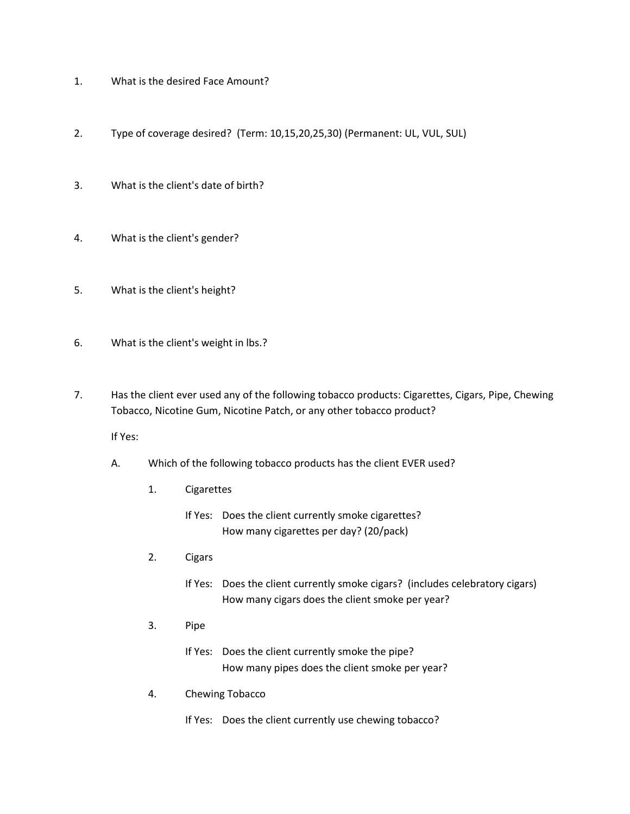- 1. What is the desired Face Amount?
- 2. Type of coverage desired? (Term: 10,15,20,25,30) (Permanent: UL, VUL, SUL)
- 3. What is the client's date of birth?
- 4. What is the client's gender?
- 5. What is the client's height?
- 6. What is the client's weight in lbs.?
- 7. Has the client ever used any of the following tobacco products: Cigarettes, Cigars, Pipe, Chewing Tobacco, Nicotine Gum, Nicotine Patch, or any other tobacco product?

- A. Which of the following tobacco products has the client EVER used?
	- 1. Cigarettes
		- If Yes: Does the client currently smoke cigarettes? How many cigarettes per day? (20/pack)
	- 2. Cigars
		- If Yes: Does the client currently smoke cigars? (includes celebratory cigars) How many cigars does the client smoke per year?
	- 3. Pipe
		- If Yes: Does the client currently smoke the pipe? How many pipes does the client smoke per year?
	- 4. Chewing Tobacco
		- If Yes: Does the client currently use chewing tobacco?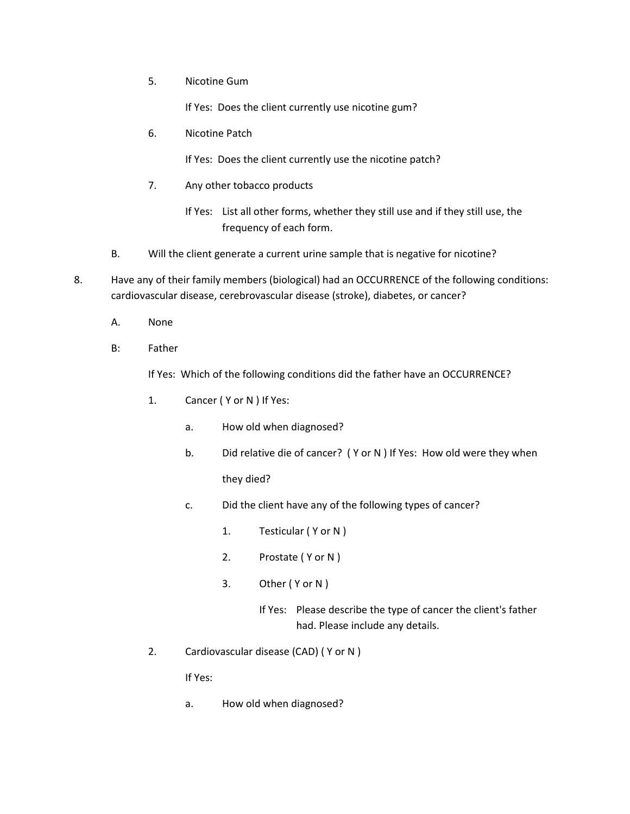5. Nicotine Gum

If Yes: Does the client currently use nicotine gum?

6. Nicotine Patch

If Yes: Does the client currently use the nicotine patch?

7. Any other tobacco products

If Yes: List all other forms, whether they still use and if they still use, the frequency of each form.

B. Will the client generate a current urine sample that is negative for nicotine?

8. Have any of their family members (biological) had an OCCURRENCE of the following conditions: cardiovascular disease, cerebrovascular disease (stroke), diabetes, or cancer?

- A. None
- B: Father

If Yes: Which of the following conditions did the father have an OCCURRENCE?

- 1. Cancer ( Y or N ) If Yes:
	- a. How old when diagnosed?
	- b. Did relative die of cancer? ( Y or N ) If Yes: How old were they when they died?
	- c. Did the client have any of the following types of cancer?
		- 1. Testicular ( Y or N )
		- 2. Prostate ( Y or N )
		- 3. Other (Y or N)
			- If Yes: Please describe the type of cancer the client's father had. Please include any details.
- 2. Cardiovascular disease (CAD) ( Y or N )

If Yes:

a. How old when diagnosed?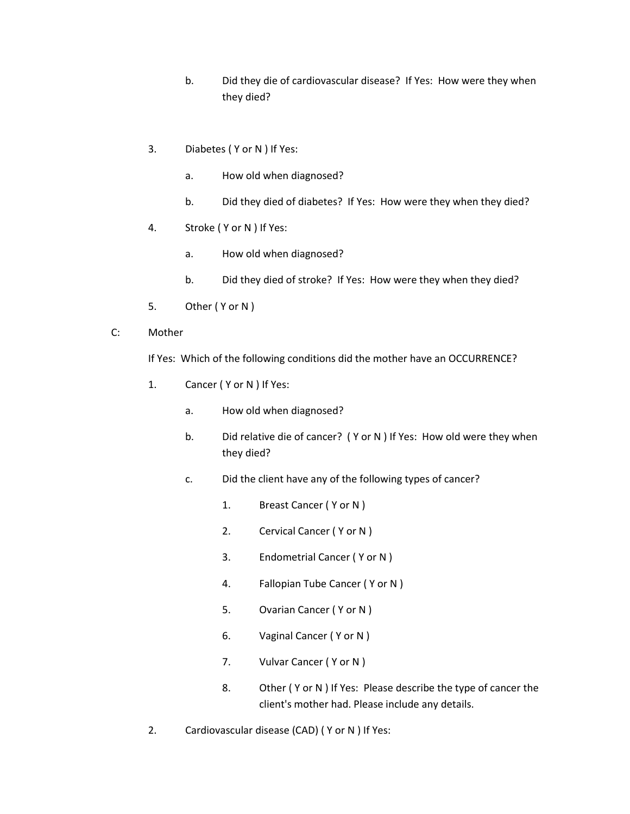- b. Did they die of cardiovascular disease? If Yes: How were they when they died?
- 3. Diabetes ( Y or N ) If Yes:
	- a. How old when diagnosed?
	- b. Did they died of diabetes? If Yes: How were they when they died?
- 4. Stroke ( Y or N ) If Yes:
	- a. How old when diagnosed?
	- b. Did they died of stroke? If Yes: How were they when they died?
- 5. Other ( Y or N )
- C: Mother

If Yes: Which of the following conditions did the mother have an OCCURRENCE?

- 1. Cancer ( Y or N ) If Yes:
	- a. How old when diagnosed?
	- b. Did relative die of cancer? ( Y or N ) If Yes: How old were they when they died?
	- c. Did the client have any of the following types of cancer?
		- 1. Breast Cancer ( Y or N )
		- 2. Cervical Cancer ( Y or N )
		- 3. Endometrial Cancer ( Y or N )
		- 4. Fallopian Tube Cancer ( Y or N )
		- 5. Ovarian Cancer ( Y or N )
		- 6. Vaginal Cancer ( Y or N )
		- 7. Vulvar Cancer (Y or N)
		- 8. Other ( Y or N ) If Yes: Please describe the type of cancer the client's mother had. Please include any details.
- 2. Cardiovascular disease (CAD) ( Y or N ) If Yes: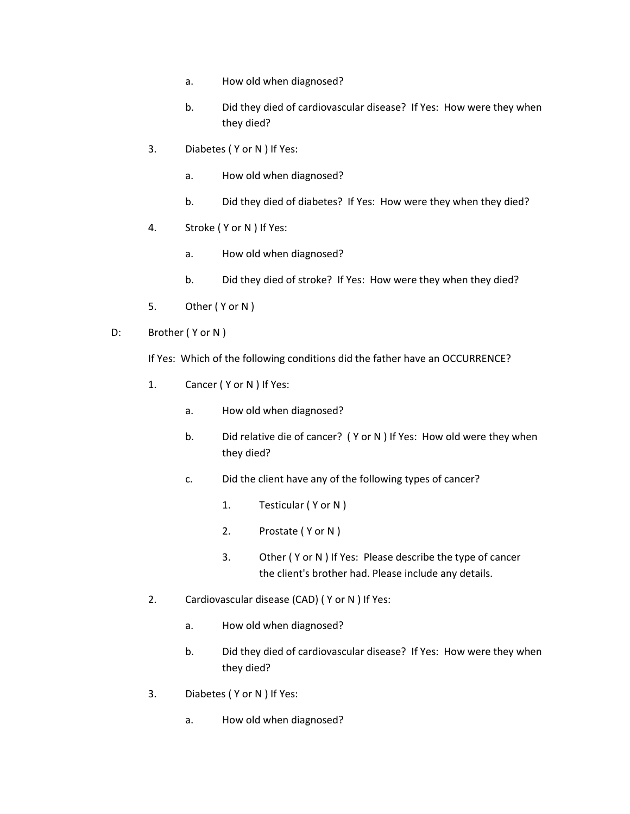- a. How old when diagnosed?
- b. Did they died of cardiovascular disease? If Yes: How were they when they died?
- 3. Diabetes ( Y or N ) If Yes:
	- a. How old when diagnosed?
	- b. Did they died of diabetes? If Yes: How were they when they died?
- 4. Stroke ( Y or N ) If Yes:
	- a. How old when diagnosed?
	- b. Did they died of stroke? If Yes: How were they when they died?
- 5. Other ( Y or N )
- D: Brother (Y or N)

If Yes: Which of the following conditions did the father have an OCCURRENCE?

- 1. Cancer ( Y or N ) If Yes:
	- a. How old when diagnosed?
	- b. Did relative die of cancer? ( Y or N ) If Yes: How old were they when they died?
	- c. Did the client have any of the following types of cancer?
		- 1. Testicular ( Y or N )
		- 2. Prostate ( Y or N )
		- 3. Other ( Y or N ) If Yes: Please describe the type of cancer the client's brother had. Please include any details.
- 2. Cardiovascular disease (CAD) ( Y or N ) If Yes:
	- a. How old when diagnosed?
	- b. Did they died of cardiovascular disease? If Yes: How were they when they died?
- 3. Diabetes ( Y or N ) If Yes:
	- a. How old when diagnosed?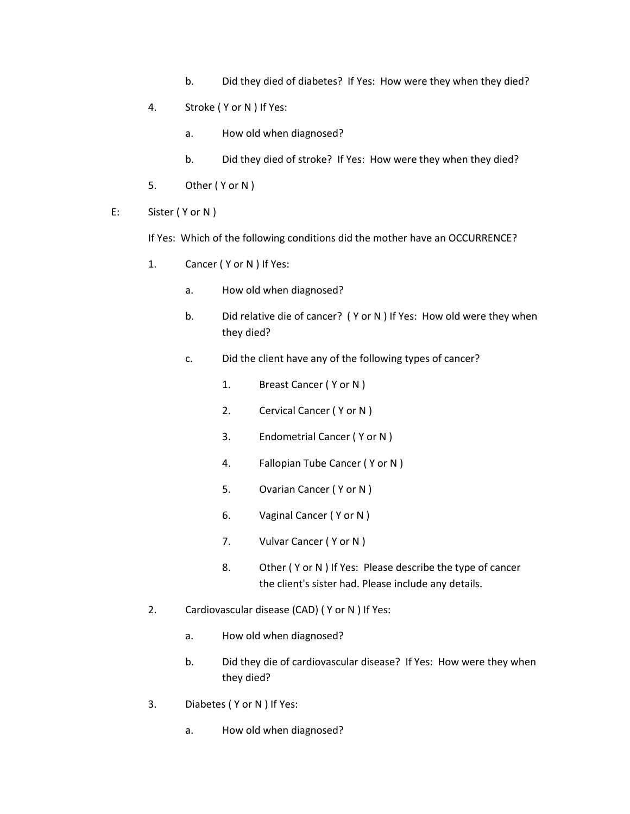- b. Did they died of diabetes? If Yes: How were they when they died?
- 4. Stroke ( Y or N ) If Yes:
	- a. How old when diagnosed?
	- b. Did they died of stroke? If Yes: How were they when they died?
- 5. Other ( Y or N )
- E: Sister ( Y or N )

If Yes: Which of the following conditions did the mother have an OCCURRENCE?

- 1. Cancer ( Y or N ) If Yes:
	- a. How old when diagnosed?
	- b. Did relative die of cancer? ( Y or N ) If Yes: How old were they when they died?
	- c. Did the client have any of the following types of cancer?
		- 1. Breast Cancer ( Y or N )
		- 2. Cervical Cancer ( Y or N )
		- 3. Endometrial Cancer ( Y or N )
		- 4. Fallopian Tube Cancer ( Y or N )
		- 5. Ovarian Cancer ( Y or N )
		- 6. Vaginal Cancer ( Y or N )
		- 7. Vulvar Cancer (Y or N)
		- 8. Other (Y or N ) If Yes: Please describe the type of cancer the client's sister had. Please include any details.
- 2. Cardiovascular disease (CAD) ( Y or N ) If Yes:
	- a. How old when diagnosed?
	- b. Did they die of cardiovascular disease? If Yes: How were they when they died?
- 3. Diabetes ( Y or N ) If Yes:
	- a. How old when diagnosed?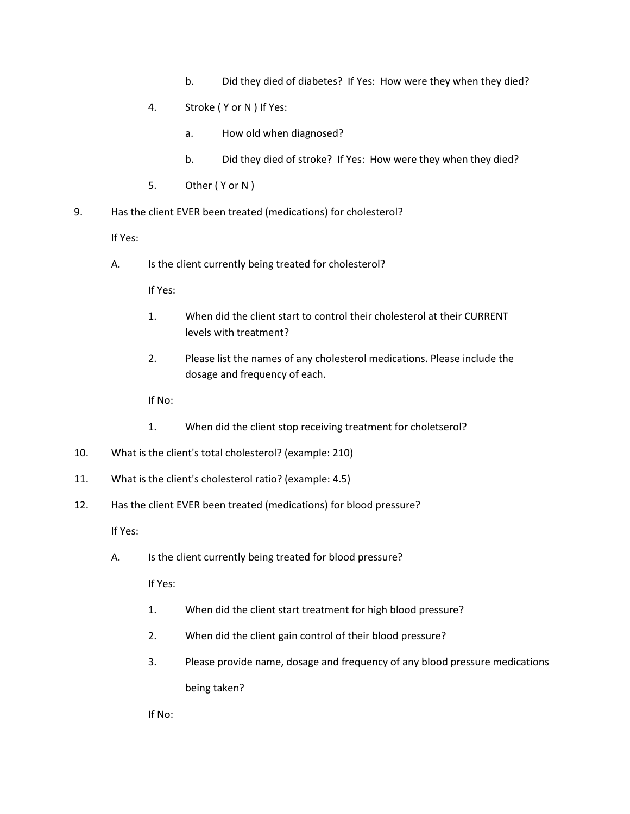- b. Did they died of diabetes? If Yes: How were they when they died?
- 4. Stroke ( Y or N ) If Yes:
	- a. How old when diagnosed?
	- b. Did they died of stroke? If Yes: How were they when they died?
- 5. Other ( Y or N )
- 9. Has the client EVER been treated (medications) for cholesterol?

A. Is the client currently being treated for cholesterol?

If Yes:

- 1. When did the client start to control their cholesterol at their CURRENT levels with treatment?
- 2. Please list the names of any cholesterol medications. Please include the dosage and frequency of each.

If No:

- 1. When did the client stop receiving treatment for choletserol?
- 10. What is the client's total cholesterol? (example: 210)
- 11. What is the client's cholesterol ratio? (example: 4.5)
- 12. Has the client EVER been treated (medications) for blood pressure?

If Yes:

A. Is the client currently being treated for blood pressure?

If Yes:

- 1. When did the client start treatment for high blood pressure?
- 2. When did the client gain control of their blood pressure?
- 3. Please provide name, dosage and frequency of any blood pressure medications being taken?

If No: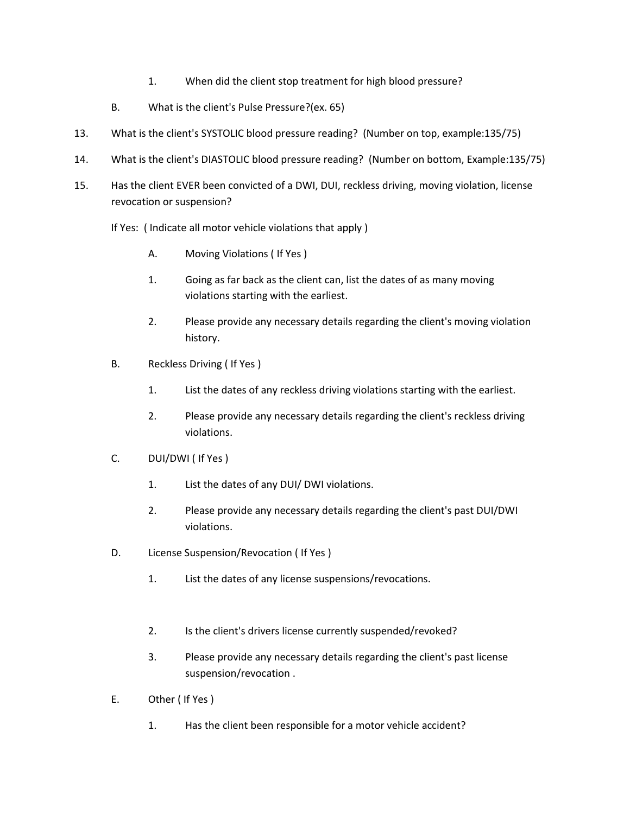- 1. When did the client stop treatment for high blood pressure?
- B. What is the client's Pulse Pressure?(ex. 65)
- 13. What is the client's SYSTOLIC blood pressure reading? (Number on top, example:135/75)
- 14. What is the client's DIASTOLIC blood pressure reading? (Number on bottom, Example:135/75)
- 15. Has the client EVER been convicted of a DWI, DUI, reckless driving, moving violation, license revocation or suspension?
	- If Yes: ( Indicate all motor vehicle violations that apply )
		- A. Moving Violations ( If Yes )
		- 1. Going as far back as the client can, list the dates of as many moving violations starting with the earliest.
		- 2. Please provide any necessary details regarding the client's moving violation history.
	- B. Reckless Driving ( If Yes )
		- 1. List the dates of any reckless driving violations starting with the earliest.
		- 2. Please provide any necessary details regarding the client's reckless driving violations.
	- C. DUI/DWI ( If Yes )
		- 1. List the dates of any DUI/ DWI violations.
		- 2. Please provide any necessary details regarding the client's past DUI/DWI violations.
	- D. License Suspension/Revocation ( If Yes )
		- 1. List the dates of any license suspensions/revocations.
		- 2. Is the client's drivers license currently suspended/revoked?
		- 3. Please provide any necessary details regarding the client's past license suspension/revocation .
	- E. Other ( If Yes )
		- 1. Has the client been responsible for a motor vehicle accident?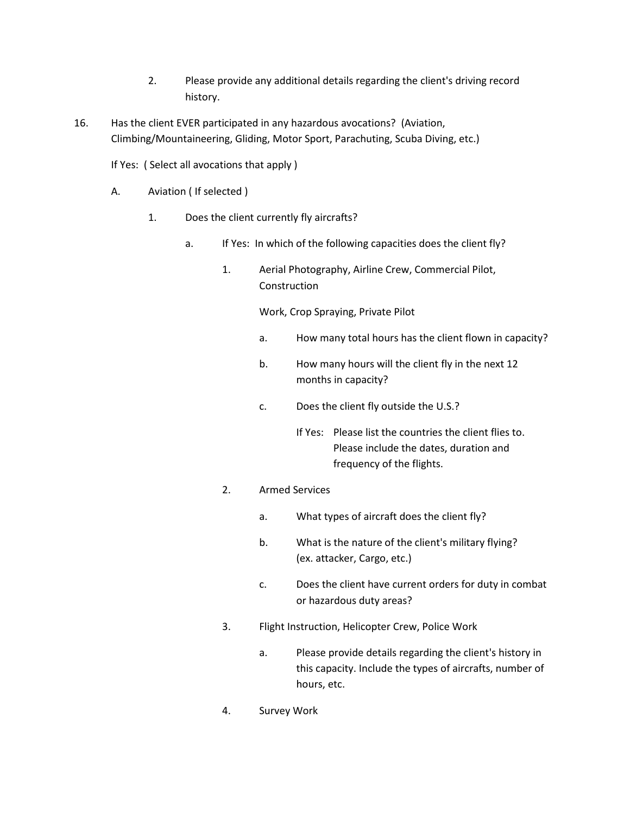- 2. Please provide any additional details regarding the client's driving record history.
- 16. Has the client EVER participated in any hazardous avocations? (Aviation, Climbing/Mountaineering, Gliding, Motor Sport, Parachuting, Scuba Diving, etc.)

If Yes: ( Select all avocations that apply )

- A. Aviation ( If selected )
	- 1. Does the client currently fly aircrafts?
		- a. If Yes: In which of the following capacities does the client fly?
			- 1. Aerial Photography, Airline Crew, Commercial Pilot, Construction

Work, Crop Spraying, Private Pilot

- a. How many total hours has the client flown in capacity?
- b. How many hours will the client fly in the next 12 months in capacity?
- c. Does the client fly outside the U.S.?
	- If Yes: Please list the countries the client flies to. Please include the dates, duration and frequency of the flights.

## 2. Armed Services

- a. What types of aircraft does the client fly?
- b. What is the nature of the client's military flying? (ex. attacker, Cargo, etc.)
- c. Does the client have current orders for duty in combat or hazardous duty areas?
- 3. Flight Instruction, Helicopter Crew, Police Work
	- a. Please provide details regarding the client's history in this capacity. Include the types of aircrafts, number of hours, etc.
- 4. Survey Work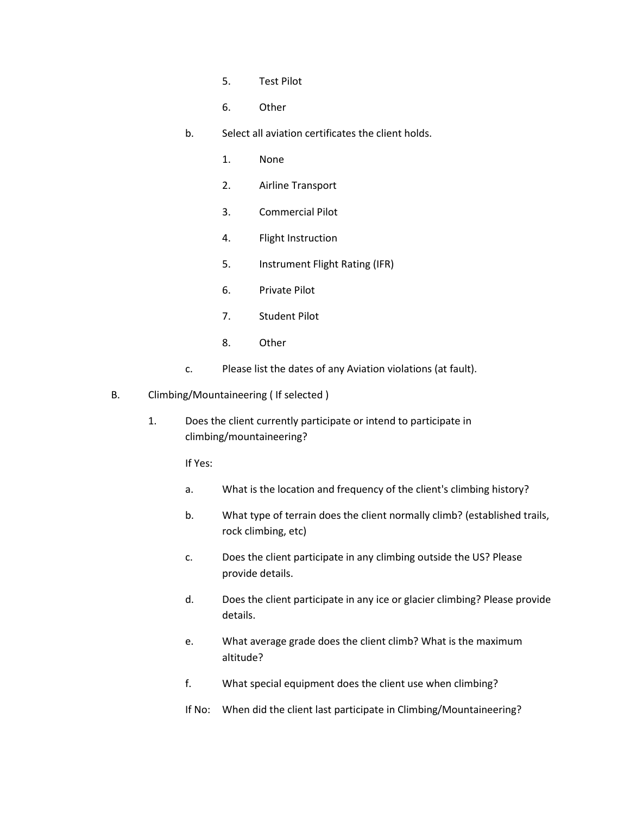- 5. Test Pilot
- 6. Other
- b. Select all aviation certificates the client holds.
	- 1. None
	- 2. Airline Transport
	- 3. Commercial Pilot
	- 4. Flight Instruction
	- 5. Instrument Flight Rating (IFR)
	- 6. Private Pilot
	- 7. Student Pilot
	- 8. Other
- c. Please list the dates of any Aviation violations (at fault).
- B. Climbing/Mountaineering ( If selected )
	- 1. Does the client currently participate or intend to participate in climbing/mountaineering?

- a. What is the location and frequency of the client's climbing history?
- b. What type of terrain does the client normally climb? (established trails, rock climbing, etc)
- c. Does the client participate in any climbing outside the US? Please provide details.
- d. Does the client participate in any ice or glacier climbing? Please provide details.
- e. What average grade does the client climb? What is the maximum altitude?
- f. What special equipment does the client use when climbing?
- If No: When did the client last participate in Climbing/Mountaineering?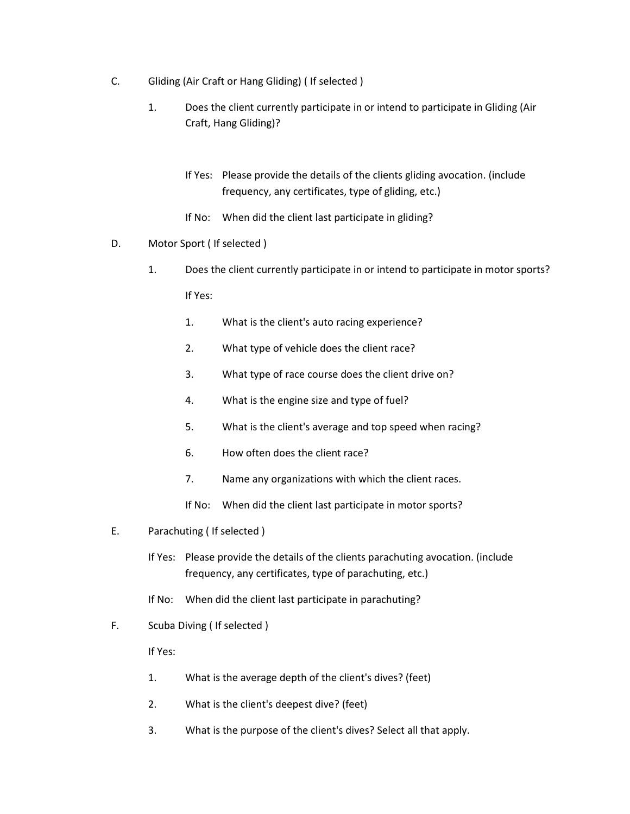- C. Gliding (Air Craft or Hang Gliding) ( If selected )
	- 1. Does the client currently participate in or intend to participate in Gliding (Air Craft, Hang Gliding)?
		- If Yes: Please provide the details of the clients gliding avocation. (include frequency, any certificates, type of gliding, etc.)
		- If No: When did the client last participate in gliding?
- D. Motor Sport ( If selected )
	- 1. Does the client currently participate in or intend to participate in motor sports? If Yes:
		- 1. What is the client's auto racing experience?
		- 2. What type of vehicle does the client race?
		- 3. What type of race course does the client drive on?
		- 4. What is the engine size and type of fuel?
		- 5. What is the client's average and top speed when racing?
		- 6. How often does the client race?
		- 7. Name any organizations with which the client races.
		- If No: When did the client last participate in motor sports?
- E. Parachuting ( If selected )
	- If Yes: Please provide the details of the clients parachuting avocation. (include frequency, any certificates, type of parachuting, etc.)
	- If No: When did the client last participate in parachuting?
- F. Scuba Diving ( If selected )

- 1. What is the average depth of the client's dives? (feet)
- 2. What is the client's deepest dive? (feet)
- 3. What is the purpose of the client's dives? Select all that apply.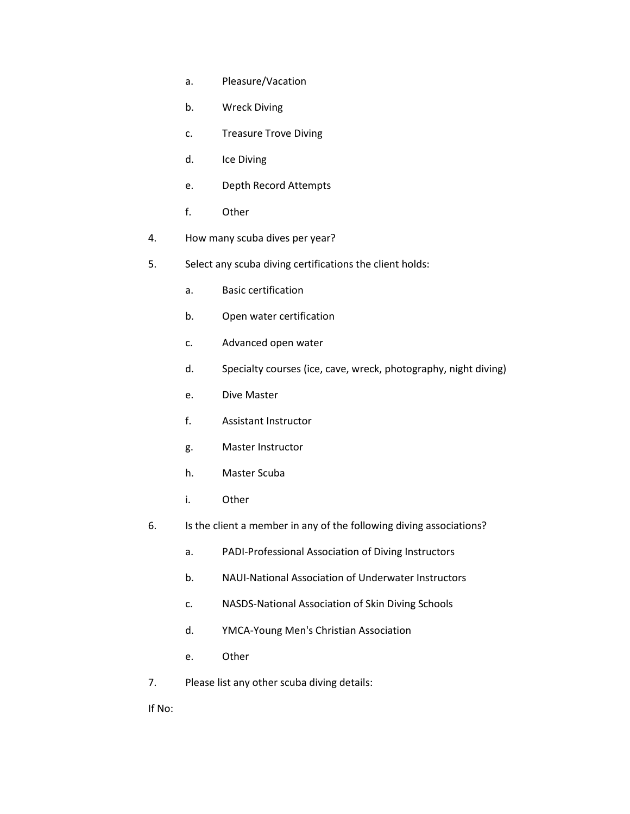- a. Pleasure/Vacation
- b. Wreck Diving
- c. Treasure Trove Diving
- d. Ice Diving
- e. Depth Record Attempts
- f. Other
- 4. How many scuba dives per year?
- 5. Select any scuba diving certifications the client holds:
	- a. Basic certification
	- b. Open water certification
	- c. Advanced open water
	- d. Specialty courses (ice, cave, wreck, photography, night diving)
	- e. Dive Master
	- f. Assistant Instructor
	- g. Master Instructor
	- h. Master Scuba
	- i. Other
- 6. Is the client a member in any of the following diving associations?
	- a. PADI-Professional Association of Diving Instructors
	- b. NAUI-National Association of Underwater Instructors
	- c. NASDS-National Association of Skin Diving Schools
	- d. YMCA-Young Men's Christian Association
	- e. Other
- 7. Please list any other scuba diving details:

If No: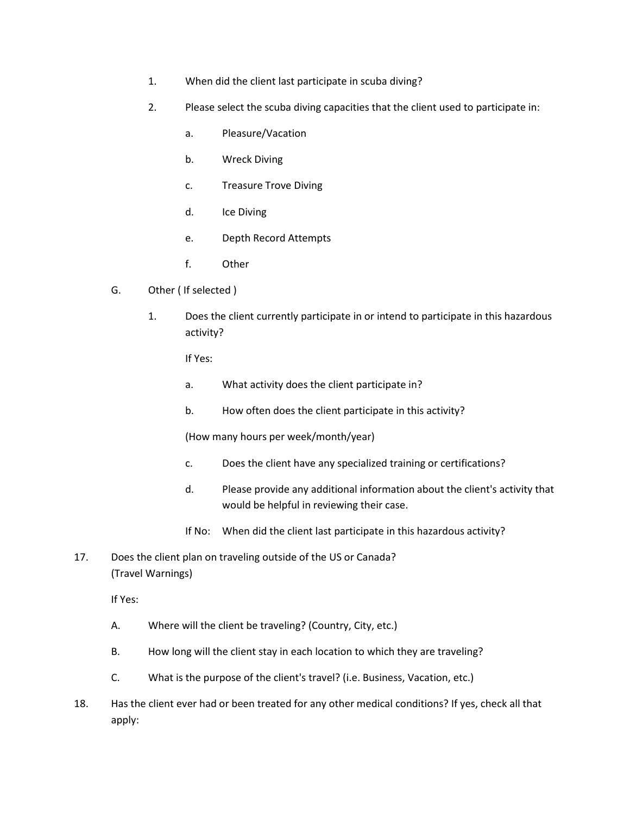- 1. When did the client last participate in scuba diving?
- 2. Please select the scuba diving capacities that the client used to participate in:
	- a. Pleasure/Vacation
	- b. Wreck Diving
	- c. Treasure Trove Diving
	- d. Ice Diving
	- e. Depth Record Attempts
	- f. Other
- G. Other ( If selected )
	- 1. Does the client currently participate in or intend to participate in this hazardous activity?

- a. What activity does the client participate in?
- b. How often does the client participate in this activity?

(How many hours per week/month/year)

- c. Does the client have any specialized training or certifications?
- d. Please provide any additional information about the client's activity that would be helpful in reviewing their case.
- If No: When did the client last participate in this hazardous activity?
- 17. Does the client plan on traveling outside of the US or Canada? (Travel Warnings)

- A. Where will the client be traveling? (Country, City, etc.)
- B. How long will the client stay in each location to which they are traveling?
- C. What is the purpose of the client's travel? (i.e. Business, Vacation, etc.)
- 18. Has the client ever had or been treated for any other medical conditions? If yes, check all that apply: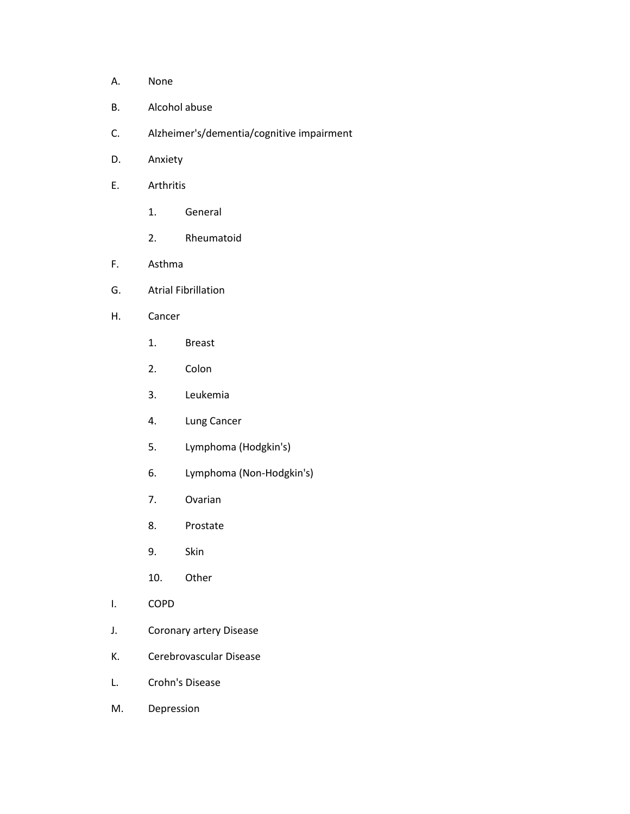- A. None
- B. Alcohol abuse
- C. Alzheimer's/dementia/cognitive impairment
- D. Anxiety
- E. Arthritis
	- 1. General
	- 2. Rheumatoid
- F. Asthma
- G. Atrial Fibrillation
- H. Cancer
	- 1. Breast
	- 2. Colon
	- 3. Leukemia
	- 4. Lung Cancer
	- 5. Lymphoma (Hodgkin's)
	- 6. Lymphoma (Non-Hodgkin's)
	- 7. Ovarian
	- 8. Prostate
	- 9. Skin
	- 10. Other
- I. COPD
- J. Coronary artery Disease
- K. Cerebrovascular Disease
- L. Crohn's Disease
- M. Depression